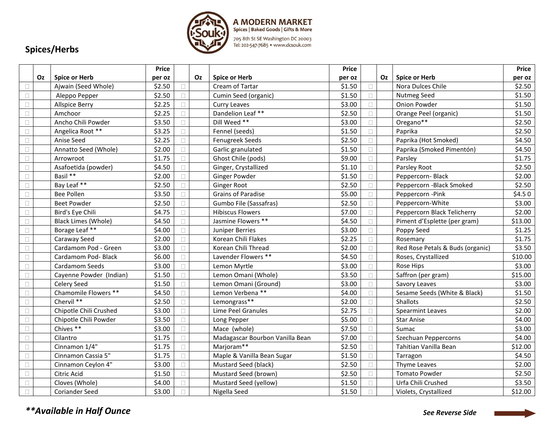

| Spices/Herbs |  |
|--------------|--|
|--------------|--|

|        |    |                            | <b>Price</b> |        |    |                                 | <b>Price</b> |        |    |                                  | Price   |
|--------|----|----------------------------|--------------|--------|----|---------------------------------|--------------|--------|----|----------------------------------|---------|
|        | Oz | <b>Spice or Herb</b>       | per oz       |        | Oz | <b>Spice or Herb</b>            | per oz       |        | Oz | <b>Spice or Herb</b>             | per oz  |
| $\Box$ |    | Ajwain (Seed Whole)        | \$2.50       |        |    | Cream of Tartar                 | \$1.50       |        |    | Nora Dulces Chile                | \$2.50  |
| $\Box$ |    | Aleppo Pepper              | \$2.50       |        |    | Cumin Seed (organic)            | \$1.50       | $\Box$ |    | <b>Nutmeg Seed</b>               | \$1.50  |
| $\Box$ |    | <b>Allspice Berry</b>      | \$2.25       |        |    | Curry Leaves                    | \$3.00       | $\Box$ |    | Onion Powder                     | \$1.50  |
| $\Box$ |    | Amchoor                    | \$2.25       |        |    | Dandelion Leaf **               | \$2.50       | $\Box$ |    | Orange Peel (organic)            | \$1.50  |
| $\Box$ |    | Ancho Chili Powder         | \$3.50       |        |    | Dill Weed **                    | \$3.00       | П      |    | Oregano**                        | \$2.50  |
| $\Box$ |    | Angelica Root **           | \$3.25       |        |    | Fennel (seeds)                  | \$1.50       | П      |    | Paprika                          | \$2.50  |
| $\Box$ |    | Anise Seed                 | \$2.25       |        |    | Fenugreek Seeds                 | \$2.50       |        |    | Paprika (Hot Smoked)             | \$4.50  |
| $\Box$ |    | Annatto Seed (Whole)       | \$2.00       |        |    | Garlic granulated               | \$1.50       |        |    | Paprika (Smoked Pimentón)        | \$4.50  |
| $\Box$ |    | Arrowroot                  | \$1.75       |        |    | Ghost Chile (pods)              | \$9.00       | П      |    | Parsley                          | \$1.75  |
| $\Box$ |    | Asafoetida (powder)        | \$4.50       |        |    | Ginger, Crystallized            | \$1.10       | П.     |    | Parsley Root                     | \$2.50  |
| $\Box$ |    | Basil **                   | \$2.00       |        |    | Ginger Powder                   | \$1.50       |        |    | Peppercorn-Black                 | \$2.00  |
| $\Box$ |    | Bay Leaf **                | \$2.50       |        |    | <b>Ginger Root</b>              | \$2.50       | $\Box$ |    | Peppercorn - Black Smoked        | \$2.50  |
| $\Box$ |    | <b>Bee Pollen</b>          | \$3.50       |        |    | Grains of Paradise              | \$5.00       | $\Box$ |    | Peppercorn-Pink                  | \$4.50  |
| $\Box$ |    | <b>Beet Powder</b>         | \$2.50       |        |    | Gumbo File (Sassafras)          | \$2.50       | П.     |    | Peppercorn-White                 | \$3.00  |
| $\Box$ |    | Bird's Eye Chili           | \$4.75       |        |    | <b>Hibiscus Flowers</b>         | \$7.00       | $\Box$ |    | Peppercorn Black Telicherry      | \$2.00  |
| $\Box$ |    | <b>Black Limes (Whole)</b> | \$4.50       | П      |    | Jasmine Flowers **              | \$4.50       | П.     |    | Piment d'Esplette (per gram)     | \$13.00 |
| $\Box$ |    | Borage Leaf **             | \$4.00       |        |    | <b>Juniper Berries</b>          | \$3.00       | $\Box$ |    | Poppy Seed                       | \$1.25  |
| $\Box$ |    | Caraway Seed               | \$2.00       |        |    | Korean Chili Flakes             | \$2.25       |        |    | Rosemary                         | \$1.75  |
| $\Box$ |    | Cardamom Pod - Green       | \$3.00       | п      |    | Korean Chili Thread             | \$2.00       | П      |    | Red Rose Petals & Buds (organic) | \$3.50  |
| $\Box$ |    | Cardamom Pod- Black        | \$6.00       |        |    | Lavender Flowers **             | \$4.50       |        |    | Roses, Crystallized              | \$10.00 |
| $\Box$ |    | Cardamom Seeds             | \$3.00       |        |    | Lemon Myrtle                    | \$3.00       | П.     |    | Rose Hips                        | \$3.00  |
| $\Box$ |    | Cayenne Powder (Indian)    | \$1.50       |        |    | Lemon Omani (Whole)             | \$3.50       | П.     |    | Saffron (per gram)               | \$15.00 |
| $\Box$ |    | Celery Seed                | \$1.50       |        |    | Lemon Omani (Ground)            | \$3.00       | П      |    | Savory Leaves                    | \$3.00  |
| $\Box$ |    | Chamomile Flowers **       | \$4.50       |        |    | Lemon Verbena **                | \$4.00       |        |    | Sesame Seeds (White & Black)     | \$1.50  |
| $\Box$ |    | Chervil **                 | \$2.50       |        |    | Lemongrass**                    | \$2.00       | П.     |    | Shallots                         | \$2.50  |
| $\Box$ |    | Chipotle Chili Crushed     | \$3.00       |        |    | Lime Peel Granules              | \$2.75       | $\Box$ |    | <b>Spearmint Leaves</b>          | \$2.00  |
| П      |    | Chipotle Chili Powder      | \$3.50       |        |    | Long Pepper                     | \$5.00       | П      |    | <b>Star Anise</b>                | \$4.00  |
| $\Box$ |    | Chives **                  | \$3.00       |        |    | Mace (whole)                    | \$7.50       | $\Box$ |    | Sumac                            | \$3.00  |
| $\Box$ |    | Cilantro                   | \$1.75       |        |    | Madagascar Bourbon Vanilla Bean | \$7.00       | $\Box$ |    | Szechuan Peppercorns             | \$4.00  |
| $\Box$ |    | Cinnamon 1/4"              | \$1.75       | П      |    | Marjoram**                      | \$2.50       | $\Box$ |    | Tahitian Vanilla Bean            | \$12.00 |
| $\Box$ |    | Cinnamon Cassia 5"         | \$1.75       |        |    | Maple & Vanilla Bean Sugar      | \$1.50       | $\Box$ |    | Tarragon                         | \$4.50  |
| $\Box$ |    | Cinnamon Ceylon 4"         | \$3.00       | П      |    | Mustard Seed (black)            | \$2.50       | $\Box$ |    | Thyme Leaves                     | \$2.00  |
| $\Box$ |    | Citric Acid                | \$1.50       | $\Box$ |    | Mustard Seed (brown)            | \$2.50       | $\Box$ |    | <b>Tomato Powder</b>             | \$2.50  |
| $\Box$ |    | Cloves (Whole)             | \$4.00       |        |    | Mustard Seed (yellow)           | \$1.50       |        |    | Urfa Chili Crushed               | \$3.50  |
| $\Box$ |    | <b>Coriander Seed</b>      | \$3.00       |        |    | Nigella Seed                    | \$1.50       |        |    | Violets, Crystallized            | \$12.00 |

*\*\*Available in Half Ounce See Reverse Side*